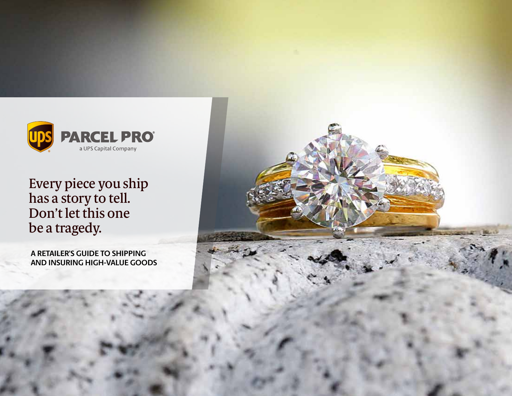

Every piece you ship has a story to tell. Don't let this one be a tragedy.

**A RETAILER'S GUIDE TO SHIPPING AND INSURING HIGH-VALUE GOODS**

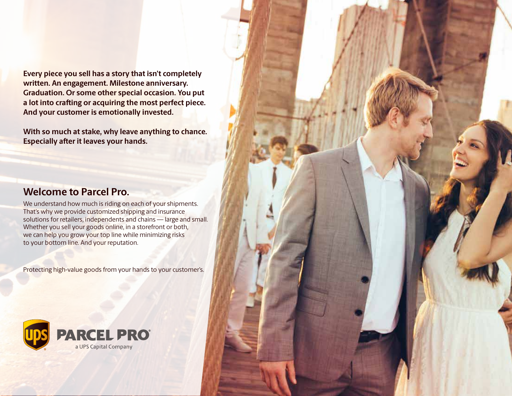**Every piece you sell has a story that isn't completely written. An engagement. Milestone anniversary. Graduation. Or some other special occasion. You put a lot into crafting or acquiring the most perfect piece. And your customer is emotionally invested.** 

**With so much at stake, why leave anything to chance. Especially after it leaves your hands.**

### **Welcome to Parcel Pro.**

We understand how much is riding on each of your shipments. That's why we provide customized shipping and insurance solutions for retailers, independents and chains — large and small. Whether you sell your goods online, in a storefront or both, we can help you grow your top line while minimizing risks to your bottom line. And your reputation.

Protecting high-value goods from your hands to your customer's.

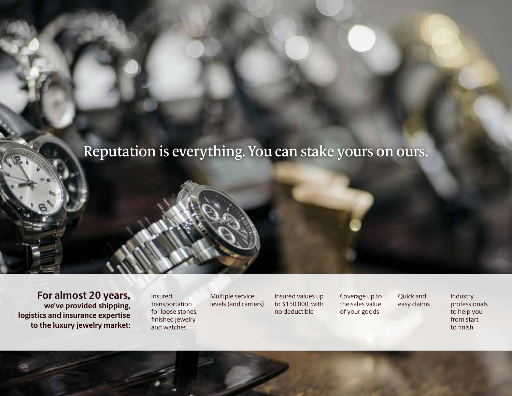### Reputation is everything. You can stake yours on ours.

**For almost 20 years, we've provided shipping, logistics and insurance expertise to the luxury jewelry market:**

Insured transportation for loose stones, finished jewelry and watches

Multiple service levels (and carriers) Insured values up to \$150,000, with no deductible

Coverage up to the sales value of your goods

Quick and easy claims

Industry professionals to help you from start to finish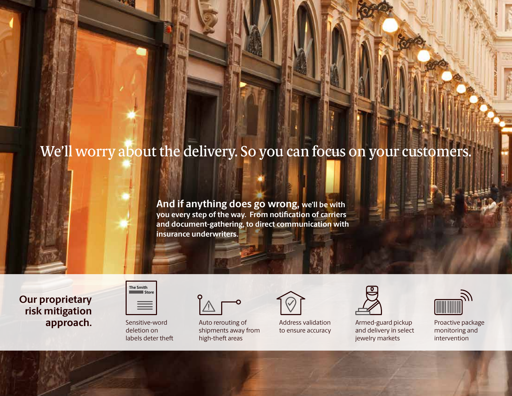# We'll worry about the delivery. So you can focus on your customers.

**And if anything does go wrong, we'll be with you every step of the way. From notification of carriers and document-gathering, to direct communication with insurance underwriters.**

**Our proprietary risk mitigation approach.** Sensitive-word

| <b>Store</b> |  |
|--------------|--|
|              |  |
|              |  |

**The Smith** 

deletion on labels deter theft

Auto rerouting of shipments away from high-theft areas



Address validation to ensure accuracy



Armed-guard pickup and delivery in select jewelry markets



Proactive package monitoring and intervention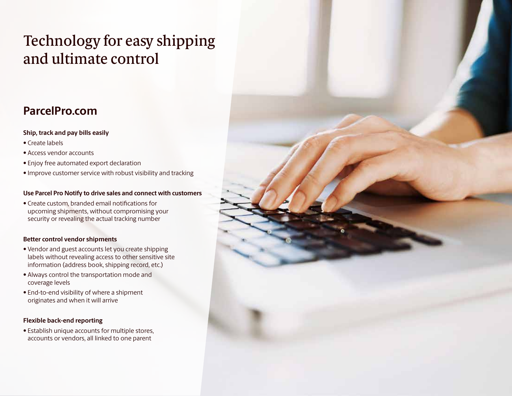## Technology for easy shipping and ultimate control

### **ParcelPro.com**

#### **Ship, track and pay bills easily**

- Create labels
- Access vendor accounts
- Enjoy free automated export declaration
- Improve customer service with robust visibility and tracking

#### **Use Parcel Pro Notify to drive sales and connect with customers**

• Create custom, branded email notifications for upcoming shipments, without compromising your security or revealing the actual tracking number

#### **Better control vendor shipments**

- Vendor and guest accounts let you create shipping labels without revealing access to other sensitive site information (address book, shipping record, etc.)
- Always control the transportation mode and coverage levels
- End-to-end visibility of where a shipment originates and when it will arrive

#### **Flexible back-end reporting**

• Establish unique accounts for multiple stores, accounts or vendors, all linked to one parent

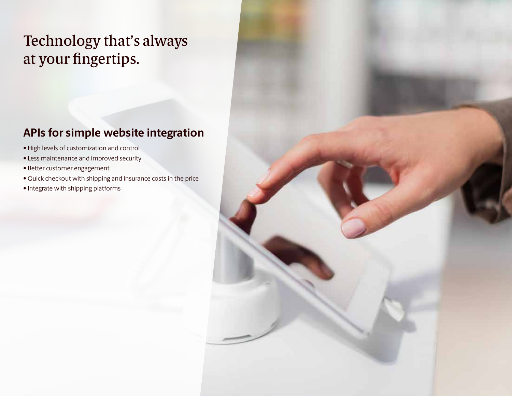## Technology that's always at your fingertips.

### **APIs for simple website integration**

- High levels of customization and control
- Less maintenance and improved security
- Better customer engagement
- Quick checkout with shipping and insurance costs in the price
- Integrate with shipping platforms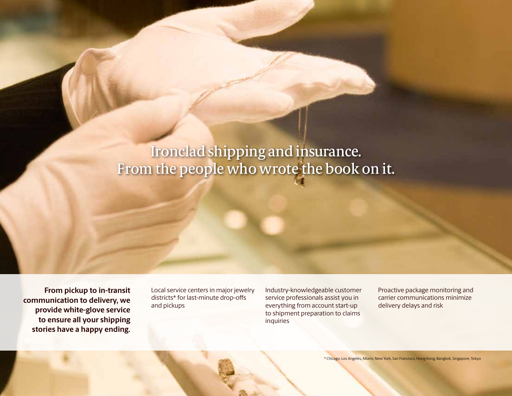## Ironclad shipping and insurance. From the people who wrote the book on it.

**From pickup to in-transit communication to delivery, we provide white-glove service to ensure all your shipping stories have a happy ending.**  Local service centers in major jewelry districts\* for last-minute drop-offs and pickups

Industry-knowledgeable customer service professionals assist you in everything from account start-up to shipment preparation to claims inquiries

Proactive package monitoring and carrier communications minimize delivery delays and risk

\* Chicago, Los Angeles, Miami, New York, San Francisco, Hong Kong, Bangkok, Singapore, Tokyo